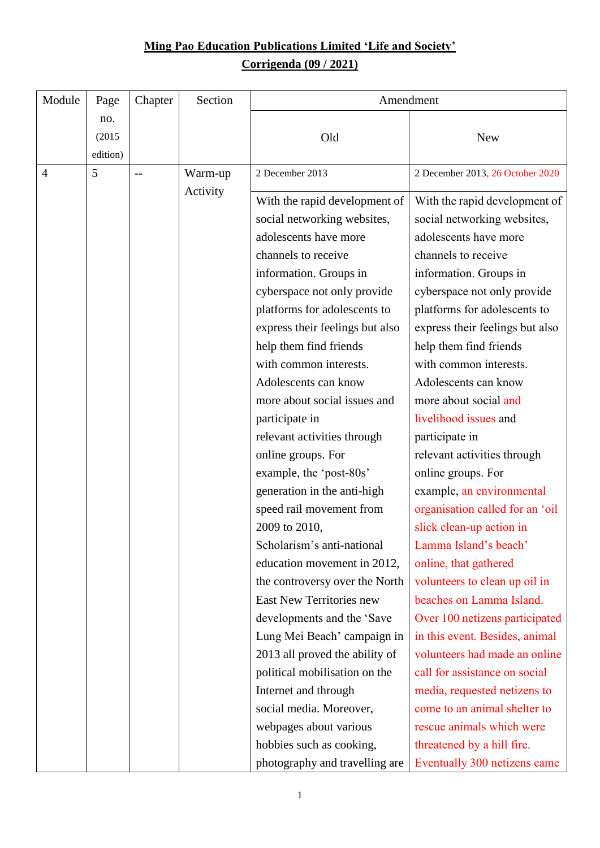## **Ming Pao Education Publications Limited 'Life and Society' Corrigenda (09 / 2021)**

| Module | Page                      | Chapter | Section  | Amendment                                                                                                                                                                                                                                                                                                                                                                                                                                                                                                                                                                                                                                                                                                                                                                                     |                                                                                                                                                                                                                                                                                                                                                                                                                                                                                                                                                                                                                                                                                                                                                                                                |  |
|--------|---------------------------|---------|----------|-----------------------------------------------------------------------------------------------------------------------------------------------------------------------------------------------------------------------------------------------------------------------------------------------------------------------------------------------------------------------------------------------------------------------------------------------------------------------------------------------------------------------------------------------------------------------------------------------------------------------------------------------------------------------------------------------------------------------------------------------------------------------------------------------|------------------------------------------------------------------------------------------------------------------------------------------------------------------------------------------------------------------------------------------------------------------------------------------------------------------------------------------------------------------------------------------------------------------------------------------------------------------------------------------------------------------------------------------------------------------------------------------------------------------------------------------------------------------------------------------------------------------------------------------------------------------------------------------------|--|
|        | no.<br>(2015)<br>edition) |         |          | Old                                                                                                                                                                                                                                                                                                                                                                                                                                                                                                                                                                                                                                                                                                                                                                                           | <b>New</b>                                                                                                                                                                                                                                                                                                                                                                                                                                                                                                                                                                                                                                                                                                                                                                                     |  |
| 4      | 5                         |         | Warm-up  | 2 December 2013                                                                                                                                                                                                                                                                                                                                                                                                                                                                                                                                                                                                                                                                                                                                                                               | 2 December 2013, 26 October 2020                                                                                                                                                                                                                                                                                                                                                                                                                                                                                                                                                                                                                                                                                                                                                               |  |
|        |                           |         | Activity | With the rapid development of<br>social networking websites,<br>adolescents have more<br>channels to receive<br>information. Groups in<br>cyberspace not only provide<br>platforms for adolescents to<br>express their feelings but also<br>help them find friends<br>with common interests.<br>Adolescents can know<br>more about social issues and<br>participate in<br>relevant activities through<br>online groups. For<br>example, the 'post-80s'<br>generation in the anti-high<br>speed rail movement from<br>2009 to 2010,<br>Scholarism's anti-national<br>education movement in 2012,<br>the controversy over the North<br>East New Territories new<br>developments and the 'Save<br>Lung Mei Beach' campaign in<br>2013 all proved the ability of<br>political mobilisation on the | With the rapid development of<br>social networking websites,<br>adolescents have more<br>channels to receive<br>information. Groups in<br>cyberspace not only provide<br>platforms for adolescents to<br>express their feelings but also<br>help them find friends<br>with common interests.<br>Adolescents can know<br>more about social and<br>livelihood issues and<br>participate in<br>relevant activities through<br>online groups. For<br>example, an environmental<br>organisation called for an 'oil<br>slick clean-up action in<br>Lamma Island's beach'<br>online, that gathered<br>volunteers to clean up oil in<br>beaches on Lamma Island.<br>Over 100 netizens participated<br>in this event. Besides, animal<br>volunteers had made an online<br>call for assistance on social |  |
|        |                           |         |          | Internet and through<br>social media. Moreover,                                                                                                                                                                                                                                                                                                                                                                                                                                                                                                                                                                                                                                                                                                                                               | media, requested netizens to<br>come to an animal shelter to                                                                                                                                                                                                                                                                                                                                                                                                                                                                                                                                                                                                                                                                                                                                   |  |
|        |                           |         |          | webpages about various                                                                                                                                                                                                                                                                                                                                                                                                                                                                                                                                                                                                                                                                                                                                                                        | rescue animals which were                                                                                                                                                                                                                                                                                                                                                                                                                                                                                                                                                                                                                                                                                                                                                                      |  |
|        |                           |         |          | hobbies such as cooking,<br>photography and travelling are                                                                                                                                                                                                                                                                                                                                                                                                                                                                                                                                                                                                                                                                                                                                    | threatened by a hill fire.<br>Eventually 300 netizens came                                                                                                                                                                                                                                                                                                                                                                                                                                                                                                                                                                                                                                                                                                                                     |  |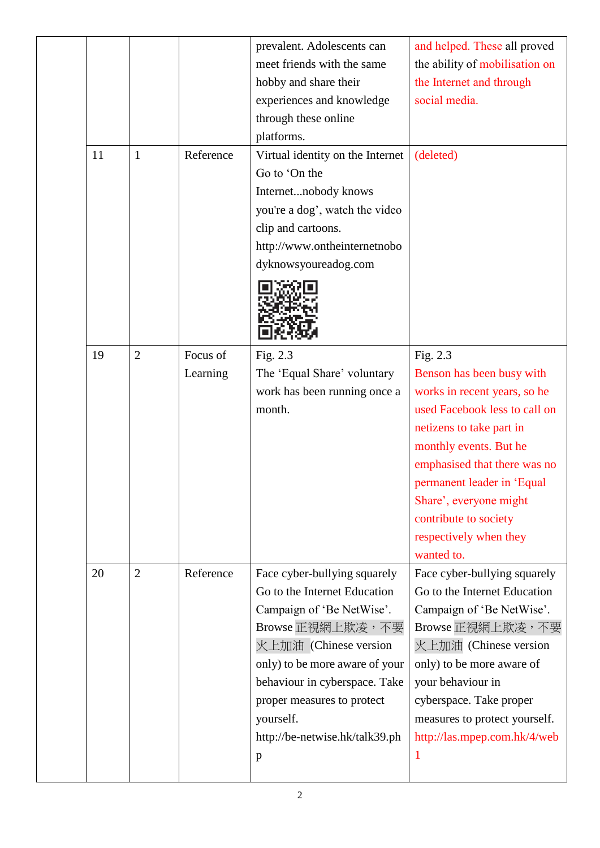|  |    |                |           | prevalent. Adolescents can       | and helped. These all proved   |
|--|----|----------------|-----------|----------------------------------|--------------------------------|
|  |    |                |           | meet friends with the same       | the ability of mobilisation on |
|  |    |                |           | hobby and share their            | the Internet and through       |
|  |    |                |           | experiences and knowledge        | social media.                  |
|  |    |                |           | through these online             |                                |
|  |    |                |           | platforms.                       |                                |
|  | 11 | $\mathbf{1}$   | Reference | Virtual identity on the Internet | (deleted)                      |
|  |    |                |           | Go to 'On the                    |                                |
|  |    |                |           | Internetnobody knows             |                                |
|  |    |                |           | you're a dog', watch the video   |                                |
|  |    |                |           | clip and cartoons.               |                                |
|  |    |                |           | http://www.ontheinternetnobo     |                                |
|  |    |                |           | dyknowsyoureadog.com             |                                |
|  |    |                |           |                                  |                                |
|  |    |                |           |                                  |                                |
|  |    |                |           |                                  |                                |
|  |    |                |           |                                  |                                |
|  | 19 | $\overline{2}$ | Focus of  | Fig. 2.3                         | Fig. 2.3                       |
|  |    |                | Learning  | The 'Equal Share' voluntary      | Benson has been busy with      |
|  |    |                |           | work has been running once a     | works in recent years, so he   |
|  |    |                |           | month.                           | used Facebook less to call on  |
|  |    |                |           |                                  | netizens to take part in       |
|  |    |                |           |                                  | monthly events. But he         |
|  |    |                |           |                                  | emphasised that there was no   |
|  |    |                |           |                                  | permanent leader in 'Equal     |
|  |    |                |           |                                  | Share', everyone might         |
|  |    |                |           |                                  | contribute to society          |
|  |    |                |           |                                  | respectively when they         |
|  |    |                |           |                                  | wanted to.                     |
|  | 20 | $\overline{2}$ | Reference | Face cyber-bullying squarely     | Face cyber-bullying squarely   |
|  |    |                |           | Go to the Internet Education     | Go to the Internet Education   |
|  |    |                |           | Campaign of 'Be NetWise'.        | Campaign of 'Be NetWise'.      |
|  |    |                |           | Browse 正視網上欺凌,不要                 | Browse 正視網上欺凌,不要               |
|  |    |                |           | 火上加油 (Chinese version            | 火上加油 (Chinese version          |
|  |    |                |           | only) to be more aware of your   | only) to be more aware of      |
|  |    |                |           | behaviour in cyberspace. Take    | your behaviour in              |
|  |    |                |           | proper measures to protect       | cyberspace. Take proper        |
|  |    |                |           | yourself.                        | measures to protect yourself.  |
|  |    |                |           | http://be-netwise.hk/talk39.ph   | http://las.mpep.com.hk/4/web   |
|  |    |                |           | $\mathbf{p}$                     | 1                              |
|  |    |                |           |                                  |                                |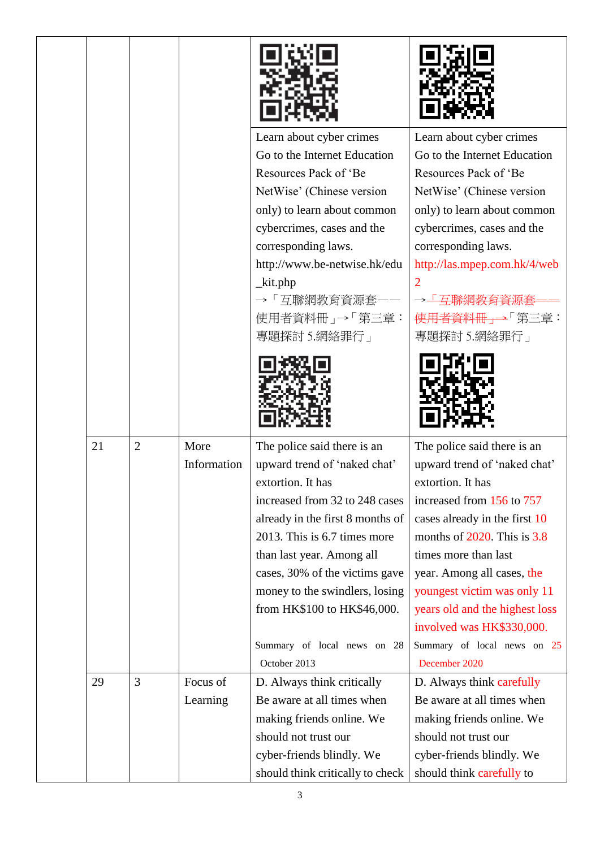|    |                |                      | Learn about cyber crimes<br>Go to the Internet Education<br>Resources Pack of 'Be<br>NetWise' (Chinese version<br>only) to learn about common<br>cybercrimes, cases and the<br>corresponding laws.<br>http://www.be-netwise.hk/edu<br>$_k$ it.php<br>→「互聯網教育資源套<br>使用者資料冊」→「第三章:<br>專題探討 5.網絡罪行」                                                                      | Learn about cyber crimes<br>Go to the Internet Education<br>Resources Pack of 'Be<br>NetWise' (Chinese version<br>only) to learn about common<br>cybercrimes, cases and the<br>corresponding laws.<br>http://las.mpep.com.hk/4/web<br>使用者資料冊」→「第三章:<br>專題探討 5.網絡罪行」                                                                                                                    |
|----|----------------|----------------------|-----------------------------------------------------------------------------------------------------------------------------------------------------------------------------------------------------------------------------------------------------------------------------------------------------------------------------------------------------------------------|----------------------------------------------------------------------------------------------------------------------------------------------------------------------------------------------------------------------------------------------------------------------------------------------------------------------------------------------------------------------------------------|
|    |                |                      |                                                                                                                                                                                                                                                                                                                                                                       |                                                                                                                                                                                                                                                                                                                                                                                        |
| 21 | $\overline{2}$ | More<br>Information  | The police said there is an<br>upward trend of 'naked chat'<br>extortion. It has<br>increased from 32 to 248 cases<br>already in the first 8 months of<br>2013. This is 6.7 times more<br>than last year. Among all<br>cases, 30% of the victims gave<br>money to the swindlers, losing<br>from HK\$100 to HK\$46,000.<br>Summary of local news on 28<br>October 2013 | The police said there is an<br>upward trend of 'naked chat'<br>extortion. It has<br>increased from 156 to 757<br>cases already in the first 10<br>months of $2020$ . This is $3.8$<br>times more than last<br>year. Among all cases, the<br>youngest victim was only 11<br>years old and the highest loss<br>involved was HK\$330,000.<br>Summary of local news on 25<br>December 2020 |
| 29 | 3              | Focus of<br>Learning | D. Always think critically<br>Be aware at all times when<br>making friends online. We<br>should not trust our<br>cyber-friends blindly. We<br>should think critically to check                                                                                                                                                                                        | D. Always think carefully<br>Be aware at all times when<br>making friends online. We<br>should not trust our<br>cyber-friends blindly. We<br>should think carefully to                                                                                                                                                                                                                 |